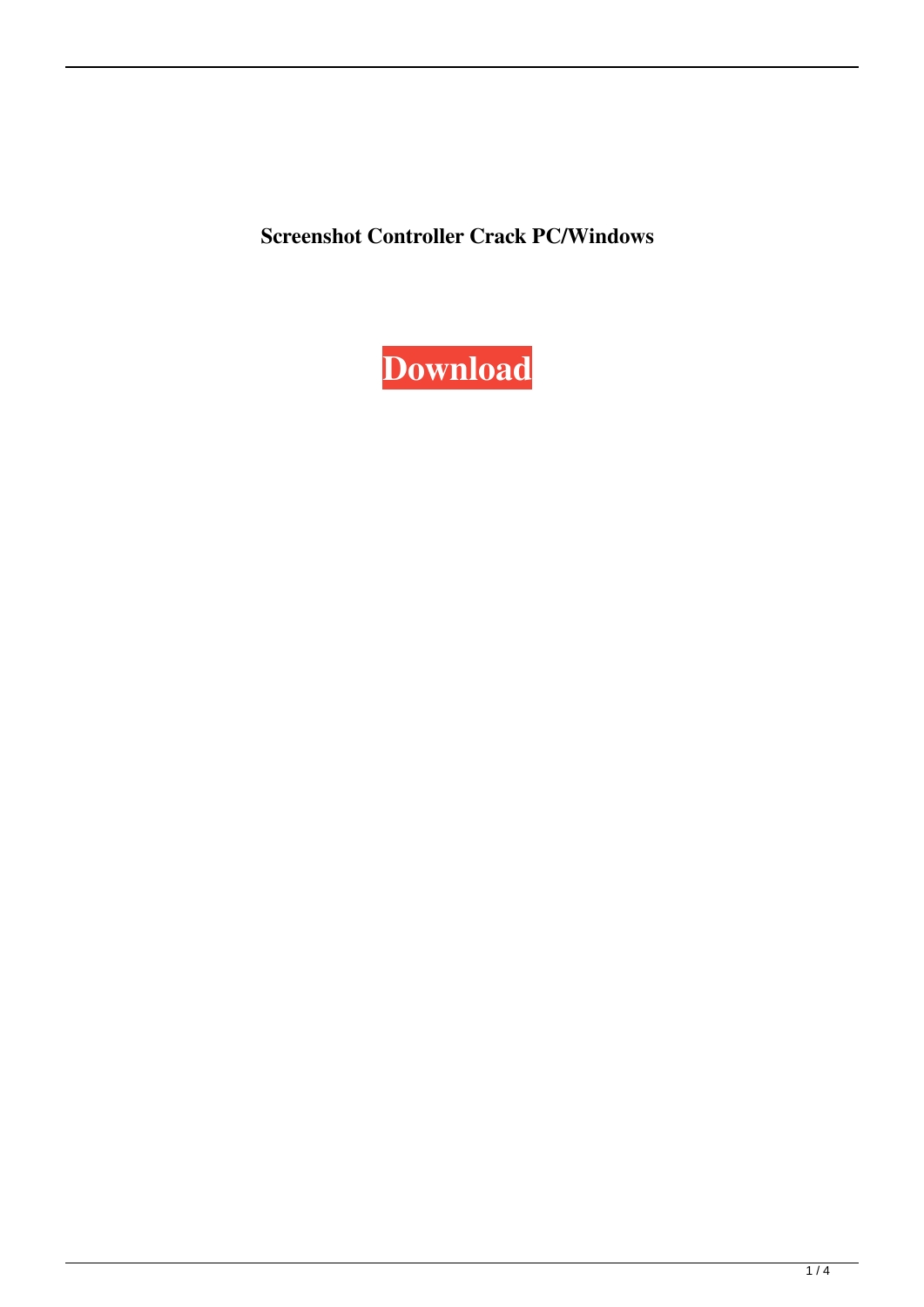**Screenshot Controller Crack PC/Windows**

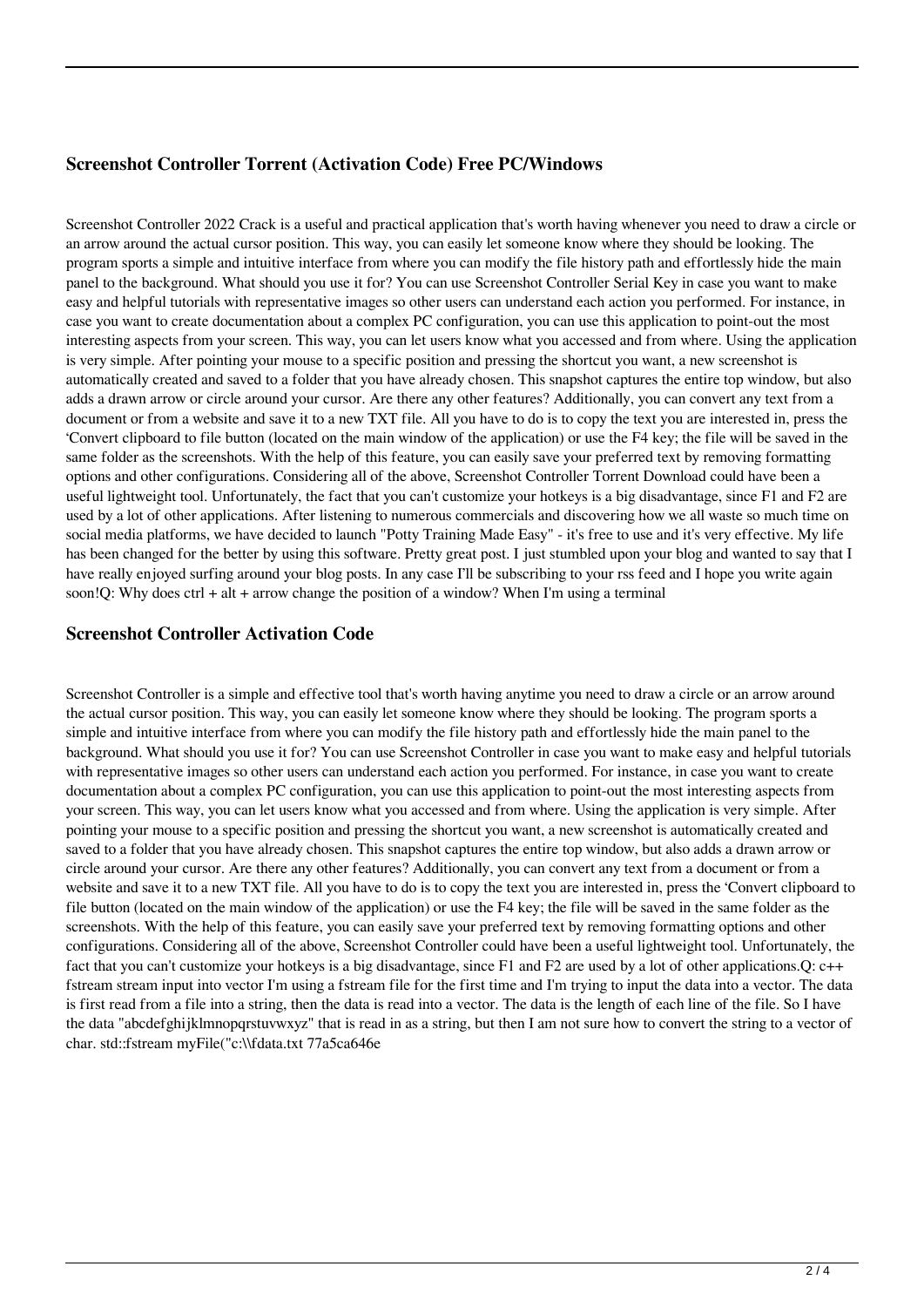## **Screenshot Controller Torrent (Activation Code) Free PC/Windows**

Screenshot Controller 2022 Crack is a useful and practical application that's worth having whenever you need to draw a circle or an arrow around the actual cursor position. This way, you can easily let someone know where they should be looking. The program sports a simple and intuitive interface from where you can modify the file history path and effortlessly hide the main panel to the background. What should you use it for? You can use Screenshot Controller Serial Key in case you want to make easy and helpful tutorials with representative images so other users can understand each action you performed. For instance, in case you want to create documentation about a complex PC configuration, you can use this application to point-out the most interesting aspects from your screen. This way, you can let users know what you accessed and from where. Using the application is very simple. After pointing your mouse to a specific position and pressing the shortcut you want, a new screenshot is automatically created and saved to a folder that you have already chosen. This snapshot captures the entire top window, but also adds a drawn arrow or circle around your cursor. Are there any other features? Additionally, you can convert any text from a document or from a website and save it to a new TXT file. All you have to do is to copy the text you are interested in, press the 'Convert clipboard to file button (located on the main window of the application) or use the F4 key; the file will be saved in the same folder as the screenshots. With the help of this feature, you can easily save your preferred text by removing formatting options and other configurations. Considering all of the above, Screenshot Controller Torrent Download could have been a useful lightweight tool. Unfortunately, the fact that you can't customize your hotkeys is a big disadvantage, since F1 and F2 are used by a lot of other applications. After listening to numerous commercials and discovering how we all waste so much time on social media platforms, we have decided to launch "Potty Training Made Easy" - it's free to use and it's very effective. My life has been changed for the better by using this software. Pretty great post. I just stumbled upon your blog and wanted to say that I have really enjoyed surfing around your blog posts. In any case I'll be subscribing to your rss feed and I hope you write again soon!Q: Why does ctrl + alt + arrow change the position of a window? When I'm using a terminal

#### **Screenshot Controller Activation Code**

Screenshot Controller is a simple and effective tool that's worth having anytime you need to draw a circle or an arrow around the actual cursor position. This way, you can easily let someone know where they should be looking. The program sports a simple and intuitive interface from where you can modify the file history path and effortlessly hide the main panel to the background. What should you use it for? You can use Screenshot Controller in case you want to make easy and helpful tutorials with representative images so other users can understand each action you performed. For instance, in case you want to create documentation about a complex PC configuration, you can use this application to point-out the most interesting aspects from your screen. This way, you can let users know what you accessed and from where. Using the application is very simple. After pointing your mouse to a specific position and pressing the shortcut you want, a new screenshot is automatically created and saved to a folder that you have already chosen. This snapshot captures the entire top window, but also adds a drawn arrow or circle around your cursor. Are there any other features? Additionally, you can convert any text from a document or from a website and save it to a new TXT file. All you have to do is to copy the text you are interested in, press the 'Convert clipboard to file button (located on the main window of the application) or use the F4 key; the file will be saved in the same folder as the screenshots. With the help of this feature, you can easily save your preferred text by removing formatting options and other configurations. Considering all of the above, Screenshot Controller could have been a useful lightweight tool. Unfortunately, the fact that you can't customize your hotkeys is a big disadvantage, since F1 and F2 are used by a lot of other applications. O: c++ fstream stream input into vector I'm using a fstream file for the first time and I'm trying to input the data into a vector. The data is first read from a file into a string, then the data is read into a vector. The data is the length of each line of the file. So I have the data "abcdefghijklmnopqrstuvwxyz" that is read in as a string, but then I am not sure how to convert the string to a vector of char. std::fstream myFile("c:\\fdata.txt 77a5ca646e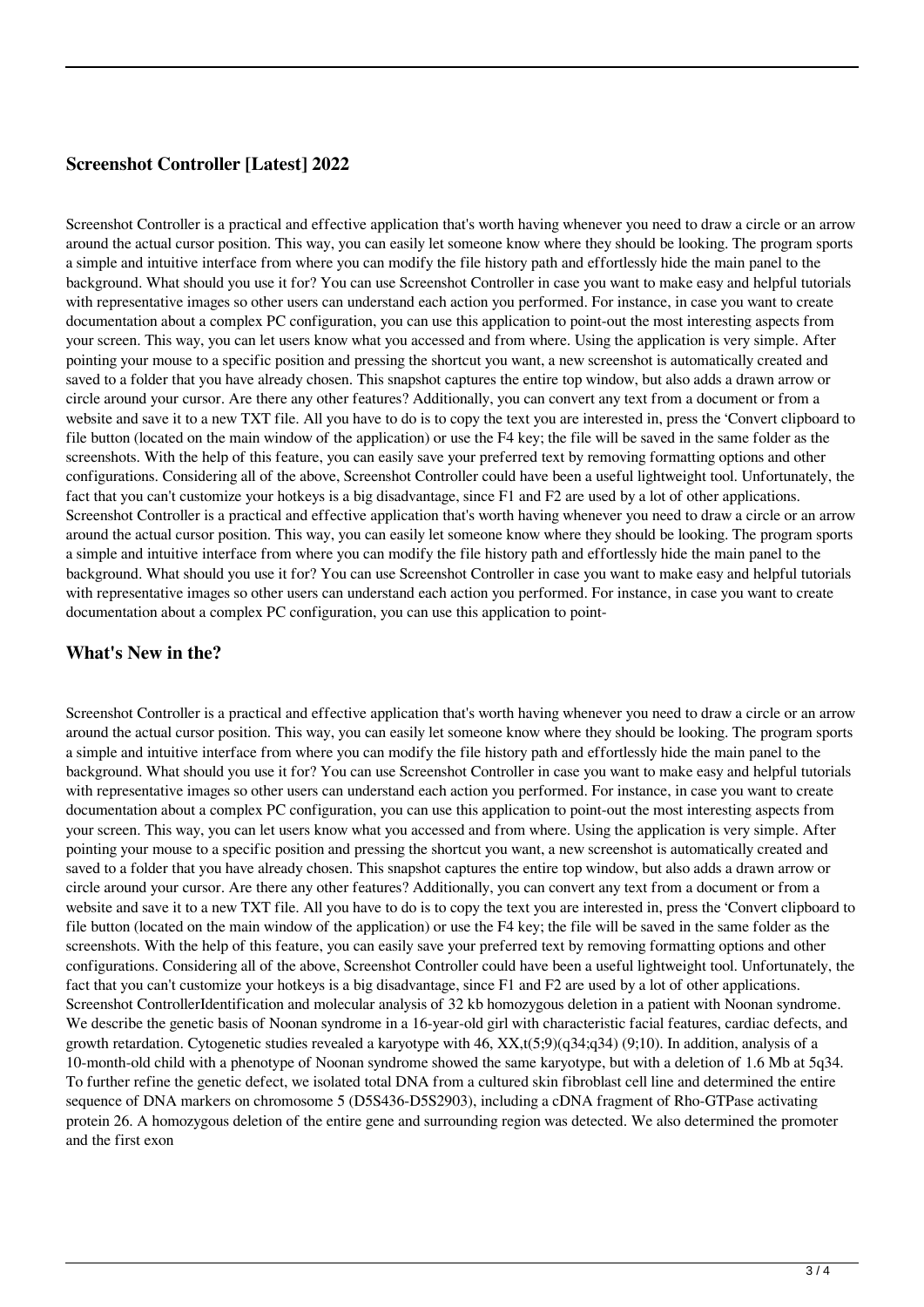# **Screenshot Controller [Latest] 2022**

Screenshot Controller is a practical and effective application that's worth having whenever you need to draw a circle or an arrow around the actual cursor position. This way, you can easily let someone know where they should be looking. The program sports a simple and intuitive interface from where you can modify the file history path and effortlessly hide the main panel to the background. What should you use it for? You can use Screenshot Controller in case you want to make easy and helpful tutorials with representative images so other users can understand each action you performed. For instance, in case you want to create documentation about a complex PC configuration, you can use this application to point-out the most interesting aspects from your screen. This way, you can let users know what you accessed and from where. Using the application is very simple. After pointing your mouse to a specific position and pressing the shortcut you want, a new screenshot is automatically created and saved to a folder that you have already chosen. This snapshot captures the entire top window, but also adds a drawn arrow or circle around your cursor. Are there any other features? Additionally, you can convert any text from a document or from a website and save it to a new TXT file. All you have to do is to copy the text you are interested in, press the 'Convert clipboard to file button (located on the main window of the application) or use the F4 key; the file will be saved in the same folder as the screenshots. With the help of this feature, you can easily save your preferred text by removing formatting options and other configurations. Considering all of the above, Screenshot Controller could have been a useful lightweight tool. Unfortunately, the fact that you can't customize your hotkeys is a big disadvantage, since F1 and F2 are used by a lot of other applications. Screenshot Controller is a practical and effective application that's worth having whenever you need to draw a circle or an arrow around the actual cursor position. This way, you can easily let someone know where they should be looking. The program sports a simple and intuitive interface from where you can modify the file history path and effortlessly hide the main panel to the background. What should you use it for? You can use Screenshot Controller in case you want to make easy and helpful tutorials with representative images so other users can understand each action you performed. For instance, in case you want to create documentation about a complex PC configuration, you can use this application to point-

## **What's New in the?**

Screenshot Controller is a practical and effective application that's worth having whenever you need to draw a circle or an arrow around the actual cursor position. This way, you can easily let someone know where they should be looking. The program sports a simple and intuitive interface from where you can modify the file history path and effortlessly hide the main panel to the background. What should you use it for? You can use Screenshot Controller in case you want to make easy and helpful tutorials with representative images so other users can understand each action you performed. For instance, in case you want to create documentation about a complex PC configuration, you can use this application to point-out the most interesting aspects from your screen. This way, you can let users know what you accessed and from where. Using the application is very simple. After pointing your mouse to a specific position and pressing the shortcut you want, a new screenshot is automatically created and saved to a folder that you have already chosen. This snapshot captures the entire top window, but also adds a drawn arrow or circle around your cursor. Are there any other features? Additionally, you can convert any text from a document or from a website and save it to a new TXT file. All you have to do is to copy the text you are interested in, press the 'Convert clipboard to file button (located on the main window of the application) or use the F4 key; the file will be saved in the same folder as the screenshots. With the help of this feature, you can easily save your preferred text by removing formatting options and other configurations. Considering all of the above, Screenshot Controller could have been a useful lightweight tool. Unfortunately, the fact that you can't customize your hotkeys is a big disadvantage, since F1 and F2 are used by a lot of other applications. Screenshot ControllerIdentification and molecular analysis of 32 kb homozygous deletion in a patient with Noonan syndrome. We describe the genetic basis of Noonan syndrome in a 16-year-old girl with characteristic facial features, cardiac defects, and growth retardation. Cytogenetic studies revealed a karyotype with 46, XX,t(5;9)(q34;q34) (9;10). In addition, analysis of a 10-month-old child with a phenotype of Noonan syndrome showed the same karyotype, but with a deletion of 1.6 Mb at 5q34. To further refine the genetic defect, we isolated total DNA from a cultured skin fibroblast cell line and determined the entire sequence of DNA markers on chromosome 5 (D5S436-D5S2903), including a cDNA fragment of Rho-GTPase activating protein 26. A homozygous deletion of the entire gene and surrounding region was detected. We also determined the promoter and the first exon